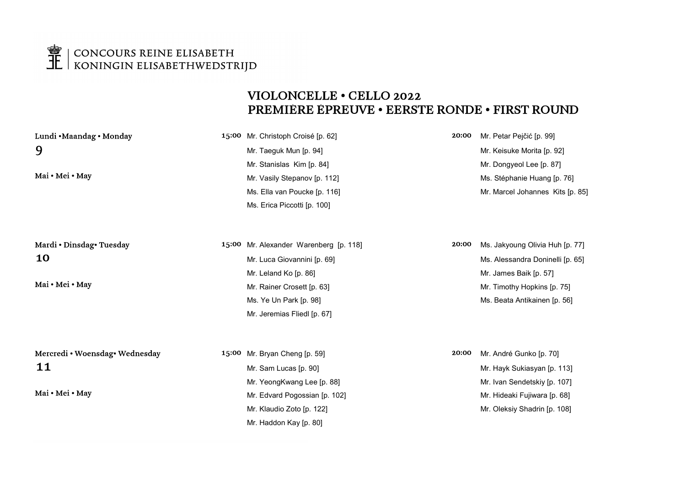## 舍<br>王 | CONCOURS REINE ELISABETH<br>| KONINGIN ELISABETHWEDSTRIJD

## VIOLONCELLE . CELLO 2022 PREMIERE EPREUVE • EERSTE RONDE • FIRST ROUND

| Lundi .Maandag . Monday        | 15:00 Mr. Christoph Croisé [p. 62]     | 20:00 | Mr. Petar Pejčić [p. 99]         |
|--------------------------------|----------------------------------------|-------|----------------------------------|
| 9                              | Mr. Taeguk Mun [p. 94]                 |       | Mr. Keisuke Morita [p. 92]       |
|                                | Mr. Stanislas Kim [p. 84]              |       | Mr. Dongyeol Lee [p. 87]         |
| Mai • Mei • May                | Mr. Vasily Stepanov [p. 112]           |       | Ms. Stéphanie Huang [p. 76]      |
|                                | Ms. Ella van Poucke [p. 116]           |       | Mr. Marcel Johannes Kits [p. 85] |
|                                | Ms. Erica Piccotti [p. 100]            |       |                                  |
| Mardi · Dinsdag · Tuesday      | 15:00 Mr. Alexander Warenberg [p. 118] | 20:00 | Ms. Jakyoung Olivia Huh [p. 77]  |
| 10                             | Mr. Luca Giovannini [p. 69]            |       | Ms. Alessandra Doninelli [p. 65] |
|                                | Mr. Leland Ko [p. 86]                  |       | Mr. James Baik [p. 57]           |
| Mai • Mei • May                | Mr. Rainer Crosett [p. 63]             |       | Mr. Timothy Hopkins [p. 75]      |
|                                | Ms. Ye Un Park [p. 98]                 |       | Ms. Beata Antikainen [p. 56]     |
|                                | Mr. Jeremias Fliedl [p. 67]            |       |                                  |
| Mercredi • Woensdag• Wednesday | 15:00 Mr. Bryan Cheng [p. 59]          | 20:00 | Mr. André Gunko [p. 70]          |
| 11                             | Mr. Sam Lucas [p. 90]                  |       | Mr. Hayk Sukiasyan [p. 113]      |
|                                | Mr. YeongKwang Lee [p. 88]             |       | Mr. Ivan Sendetskiy [p. 107]     |
| Mai • Mei • May                | Mr. Edvard Pogossian [p. 102]          |       | Mr. Hideaki Fujiwara [p. 68]     |
|                                | Mr. Klaudio Zoto [p. 122]              |       | Mr. Oleksiy Shadrin [p. 108]     |
|                                | Mr. Haddon Kay [p. 80]                 |       |                                  |